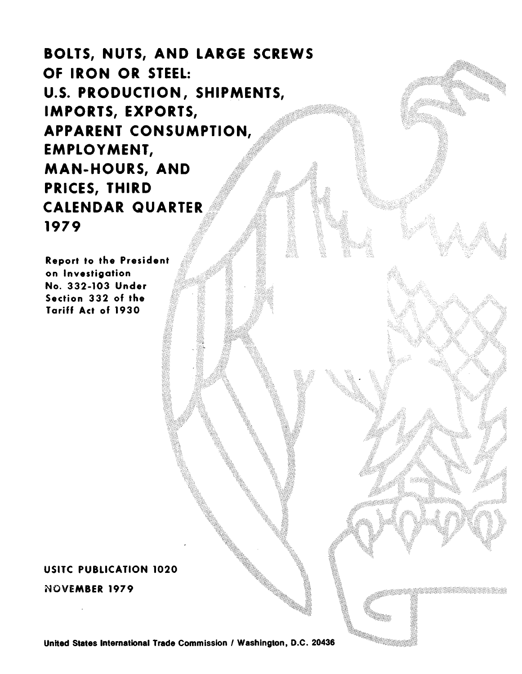BOLTS, NUTS, AND LARGE SCREWS OF IRON OR STEEL: U.S. PRODUCTION, SHIPMENTS, IMPORTS, EXPORTS, APPARENT CONSUMPTION, EMPLOYMENT, MAN-HOURS, AND PRICES, THIRD CALENDAR QUARTER 1979

Report to the President on Investigation No. 332-103 Under Section 332 of the Tariff Act of 1930

## USITC PUBLICATION 1020

NOVEMBER 1979

United States International Trade Commission I Washington, D.C. 20436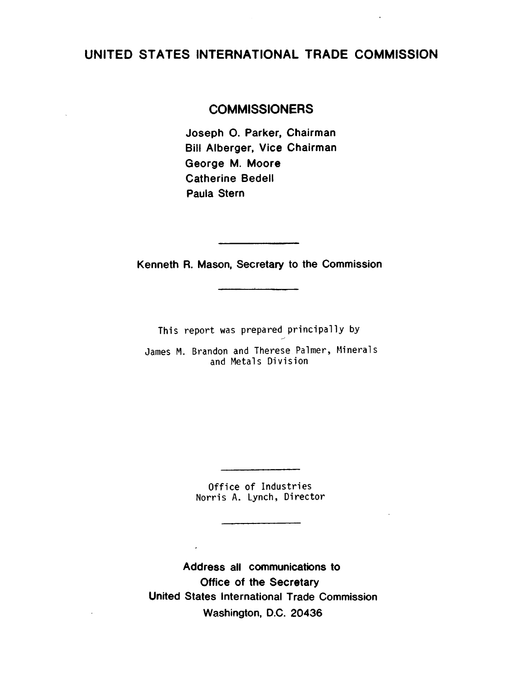# UNITED STATES INTERNATIONAL TRADE COMMISSION

## **COMMISSIONERS**

Joseph 0. Parker, Chairman Bill Alberger, Vice Chairman George M. Moore Catherine Bedell Paula Stern

Kenneth R. Mason, Secretary to the Commission

This report was prepared principally by

~

James M. Brandon and Therese Palmer, Minerals and Metals Division

> Office of Industries Norris A. Lynch, Director

Address all communications to Office of the Secretary United States International Trade Commission Washington, D.C. 20436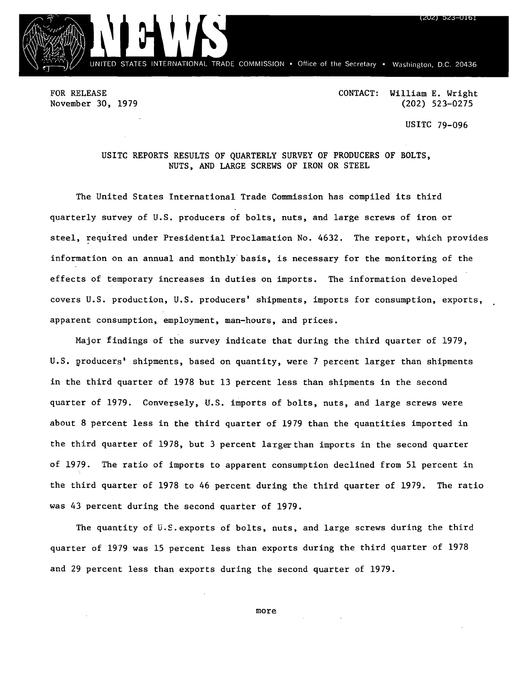

FOR RELEASE November 30, 1979 CONTACT: William E. Wright (202) 523-0275

USITC 79-096

#### USITC REPORTS RESULTS OF QUARTERLY SURVEY OF PRODUCERS OF BOLTS, NUTS, AND LARGE SCREWS OF IRON OR STEEL

The United States International Trade Commission has compiled its third quarterly survey of U.S. producers of bolts, nuts, and large screws of iron or steel, required under Presidential Proclamation No. 4632. The report, which provides information on an annual and monthly basis, is necessary for the monitoring of the effects of temporary increases in duties on imports. The information developed covers U.S. production, U.S. producers' shipments, imports for consumption, exports, apparent consumption, employment, man~hours, and prices.

Major findings of the survey indicate that during the third quarter of 1979, U.S. producers' shipments, based on quantity, were 7 percent larger than shipments in the third quarter of 1978 but 13 percent less than shipments in the second quarter of 1979. Conversely, U.S. imports of bolts, nuts, and large screws were about 8 percent less in the third quarter of 1979 than the quantities imported in the third quarter of 1978, but 3 percent largerthan imports in the second quarter of 1979. The ratio of imports to apparent consumption declined from 51 percent in the third quarter of 1978 to 46 percent during the third quarter of 1979. The ratio was 43 percent during the second quarter of 1979.

The quantity of U.S. exports of bolts, nuts, and large screws during the third quarter of 1979 was 15 percent less than exports during the third quarter of 1978 and 29 percent less than exports during the second quarter of 1979.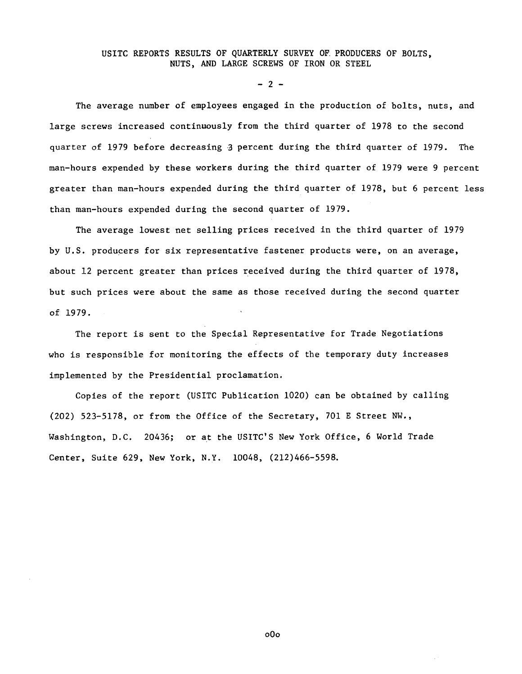#### USITC REPORTS RESULTS OF QUARTERLY SURVEY OF. PRODUCERS OF BOLTS, NUTS, AND LARGE SCREWS OF IRON OR STEEL

 $- 2 -$ 

The average number of employees engaged in the production of bolts, nuts, and large screws increased continuously from the third quarter of 1978 to the second quarter of 1979 before decreasing 3 percent during the third quarter of 1979. The man-hours expended by these workers during the third quarter of 1979 were 9 percent greater than man-hours expended during the third quarter of 1978, but 6 percent less than man-hours expended during the second quarter of 1979.

The average lowest net selling prices received in the third quarter of 1979 by U.S. producers for six representative fastener products were, on an average, about 12 percent greater than prices received during the third quarter of 1978, but such prices were about the same as those received during the second quarter of 1979.

The report is sent to the Special Representative for Trade Negotiations who is responsible for monitoring the effects of the temporary duty increases implemented by the Presidential proclamation.

Copies of the report (USITC Publication 1020) can be obtained by calling (202) 523-5178, or from the Office of the Secretary, 701 E Street NW., Washington, D.C. 20436; or at the USITC'S New York Office, 6 World Trade Center, Suite 629, New York, N.Y. 10048, (212)466-5598.

oOo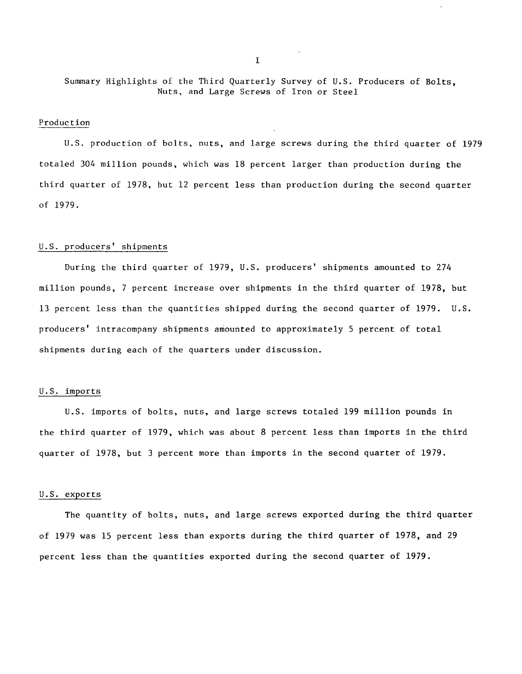Summary Highlights of the Third Quarterly Survey of U.S. Producers of Bolts, Nuts, and Large Screws of Iron or Steel

#### Production

U.S. production of bolts, nuts, and large screws during the third quarter of 1979 totaled 304 million pounds, which was 18 percent larger than production during the third quarter of 1978, but 12 percent less than production during the second quarter of 1979.

#### U.S. producers' shipments

During the third quarter of 1979, U.S. producers' shipments amounted to 274 million pounds, 7 percent increase over shipments in the third quarter of 1978, but 13 percent less than the quantities shipped during the second quarter of 1979. U.S. producers' intracompany shipments amounted to approximately 5 percent of total shipments during each of the quarters under discussion.

### U.S. imports

U.S. imports of bolts, nuts, and large screws totaled 199 million pounds in the third quarter of 1979, which was about 8 percent less than imports in the third quarter of 1978, but 3 percent more than imports in the second quarter of 1979.

#### U.S. exports

The quantity of bolts, nuts, and large screws exported during the third quarter of 1979 was 15 percent less than exports during the third quarter of 1978, and 29 percent less than the quantities exported during the second quarter of 1979.

I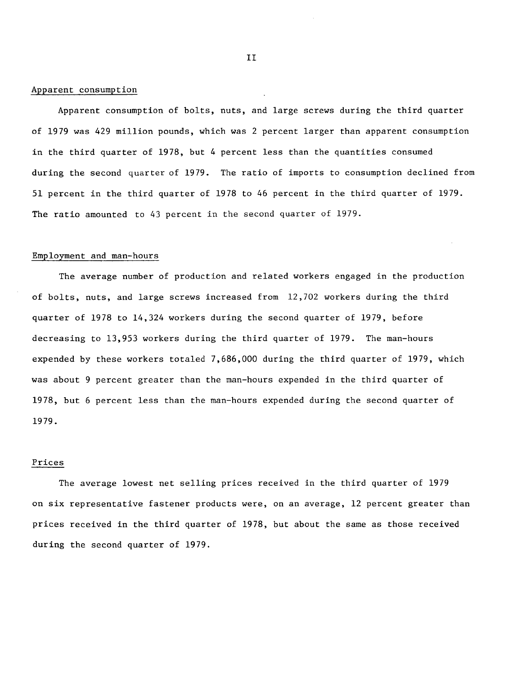#### Apparent consumption

Apparent consumption of bolts, nuts, and large screws during the third quarter of 1979 was 429 million pounds, which was 2 percent larger than apparent consumption in the third quarter of 1978, but 4 percent less than the quantities consumed during the second quarter of 1979. The ratio of imports to consumption declined from 51 percent in the third quarter of 1978 to 46 percent in the third quarter of 1979. The ratio amounted to 43 percent in the second quarter of 1979.

#### Employment and man-hours

The average number of production and related workers engaged in the production of bolts, nuts, and large screws increased from 12,702 workers during the third quarter of 1978 to 14,324 workers during the second quarter of 1979, before decreasing to 13,953 workers during the third quarter of 1979. The man-hours expended by these workers totaled 7,686,000 during the third quarter of 1979, which was about 9 percent greater than the man-hours expended in the third quarter of 1978, but 6 percent less than the man-hours expended during the second quarter of 1979.

#### Prices

The average lowest net selling prices received in the third quarter of 1979 on six representative fastener products were, on an average, 12 percent greater than prices received in the third quarter of 1978, but about the same as those received during the second quarter of 1979.

II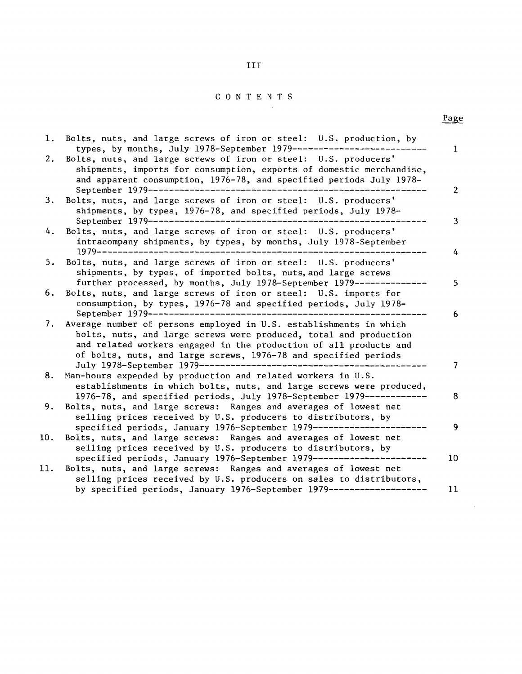## C 0 N T E N T S

 $\sim$ 

 $\sim$ 

| 1.  | Bolts, nuts, and large screws of iron or steel: U.S. production, by                                                                                                                                                                                                             |
|-----|---------------------------------------------------------------------------------------------------------------------------------------------------------------------------------------------------------------------------------------------------------------------------------|
| 2.  | types, by months, July 1978-September 1979-------<br>Bolts, nuts, and large screws of iron or steel: U.S. producers'<br>shipments, imports for consumption, exports of domestic merchandise,<br>and apparent consumption, 1976-78, and specified periods July 1978-             |
|     | September 1979-----------------                                                                                                                                                                                                                                                 |
| 3.  | Bolts, nuts, and large screws of iron or steel: U.S. producers'<br>shipments, by types, 1976-78, and specified periods, July 1978-<br>September 1979---------------------------------                                                                                           |
| 4.  | Bolts, nuts, and large screws of iron or steel: U.S. producers'<br>intracompany shipments, by types, by months, July 1978-September                                                                                                                                             |
| 5.  | Bolts, nuts, and large screws of iron or steel: U.S. producers'<br>shipments, by types, of imported bolts, nuts, and large screws<br>further processed, by months, July 1978-September 1979--------                                                                             |
| 6.  | Bolts, nuts, and large screws of iron or steel: U.S. imports for<br>consumption, by types, 1976-78 and specified periods, July 1978-<br>September 1979-----------------                                                                                                         |
| 7.  | Average number of persons employed in U.S. establishments in which<br>bolts, nuts, and large screws were produced, total and production<br>and related workers engaged in the production of all products and<br>of bolts, nuts, and large screws, 1976-78 and specified periods |
| 8.  | Man-hours expended by production and related workers in U.S.<br>establishments in which bolts, nuts, and large screws were produced,                                                                                                                                            |
| 9.  | 1976-78, and specified periods, July 1978-September 1979--------<br>Bolts, nuts, and large screws: Ranges and averages of lowest net<br>selling prices received by U.S. producers to distributors, by                                                                           |
| 10. | specified periods, January 1976-September 1979-----------<br>Bolts, nuts, and large screws: Ranges and averages of lowest net<br>selling prices received by U.S. producers to distributors, by                                                                                  |
| 11. | 10<br>specified periods, January 1976-September 1979----------------------<br>Bolts, nuts, and large screws: Ranges and averages of lowest net<br>selling prices received by U.S. producers on sales to distributors,                                                           |
|     | 11<br>by specified periods, January 1976-September 1979-------------------                                                                                                                                                                                                      |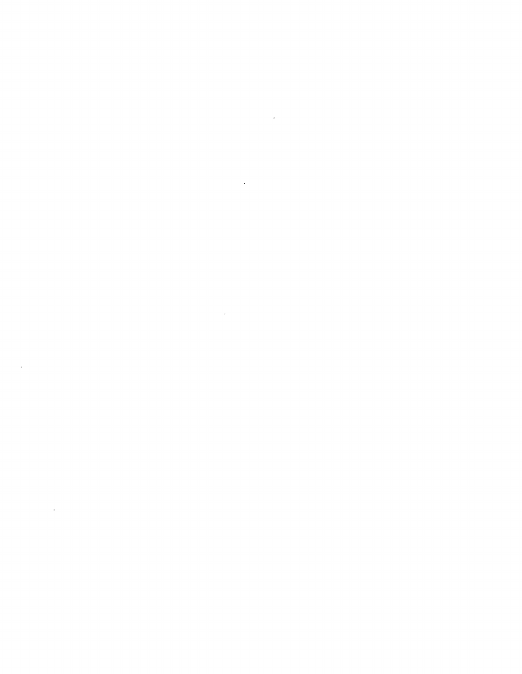$\label{eq:2.1} \frac{1}{\sqrt{2}}\int_{\mathbb{R}^3}\frac{1}{\sqrt{2}}\left(\frac{1}{\sqrt{2}}\right)^2\frac{1}{\sqrt{2}}\left(\frac{1}{\sqrt{2}}\right)^2\frac{1}{\sqrt{2}}\left(\frac{1}{\sqrt{2}}\right)^2\frac{1}{\sqrt{2}}\left(\frac{1}{\sqrt{2}}\right)^2.$  $\label{eq:2.1} \frac{1}{\sqrt{2}}\int_{\mathbb{R}^3}\frac{1}{\sqrt{2}}\left(\frac{1}{\sqrt{2}}\right)^2\frac{1}{\sqrt{2}}\left(\frac{1}{\sqrt{2}}\right)^2\frac{1}{\sqrt{2}}\left(\frac{1}{\sqrt{2}}\right)^2\frac{1}{\sqrt{2}}\left(\frac{1}{\sqrt{2}}\right)^2.$  $\mathcal{L}_{\text{max}}$  and  $\mathcal{L}_{\text{max}}$  $\label{eq:2.1} \mathcal{L}_{\text{max}} = \mathcal{L}_{\text{max}} = \mathcal{L}_{\text{max}} = \mathcal{L}_{\text{max}}$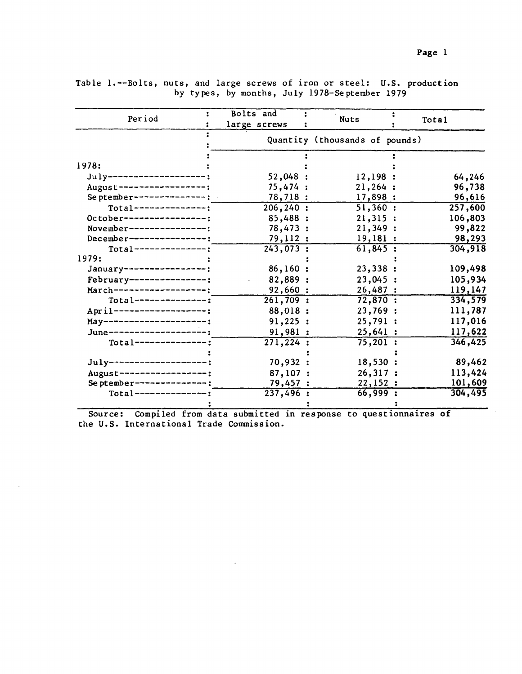| Period                      | Bolts and    |                                |          |
|-----------------------------|--------------|--------------------------------|----------|
|                             | large screws | <b>Nuts</b>                    | Total    |
|                             |              | Quantity (thousands of pounds) |          |
|                             |              |                                |          |
| 1978:                       |              |                                |          |
| $J$ u ly------------------- | 52,048:      | 12,198:                        | 64,246   |
| August------------------;   | 75,474:      | 21,264:                        | 96,738   |
| September--------------     | 78,718:      | 17,898:                        | 96,616   |
| $Total-----$                | 206, 240:    | 51,360:                        | 257,600  |
| October--------------       | 85,488 :     | 21,315:                        | 106,803  |
| November-------------       | 78,473:      | 21,349:                        | 99,822   |
| December-------------       | 79,112 :     | 19,181:                        | 98,293   |
| $Total-----:$               | 243,073:     | 61,845:                        | 304,918  |
| 1979:                       |              |                                |          |
| January-----------------:   | 86,160:      | 23,338:                        | 109,498  |
| February---------------:    | 82,889:      | 23,045:                        | 105,934  |
| March-------------------;   | 92,660:      | 26,487:                        | 119,147  |
| $Total-----$                | 261,709:     | 72,870:                        | 334,579  |
| April ----------------      | 88,018 :     | 23,769:                        | 111,787  |
| May-------------------      | 91,225:      | 25,791:                        | 117,016  |
| June--------------------    | 91,981 :     | 25,641:                        | 117,622  |
| $Total-----$                | 271,224:     | 75,201:                        | 346,425  |
|                             |              |                                |          |
| July--------------------:   | 70,932:      | 18,530:                        | 89,462   |
| August------------------    | 87,107:      | 26,317:                        | 113,424  |
| September-------------      | 79,457:      | 22,152:                        | 101,609  |
| $Total-----$                | 237,496:     | 66,999:                        | 304, 495 |
|                             |              |                                |          |

Table 1.--Bolts, nuts, and large screws of iron or steel: U.S. production by types, by months, July 1978-September 1979

Source: Compiled from data submitted in response to questionnaires of the U.S. International Trade Commission.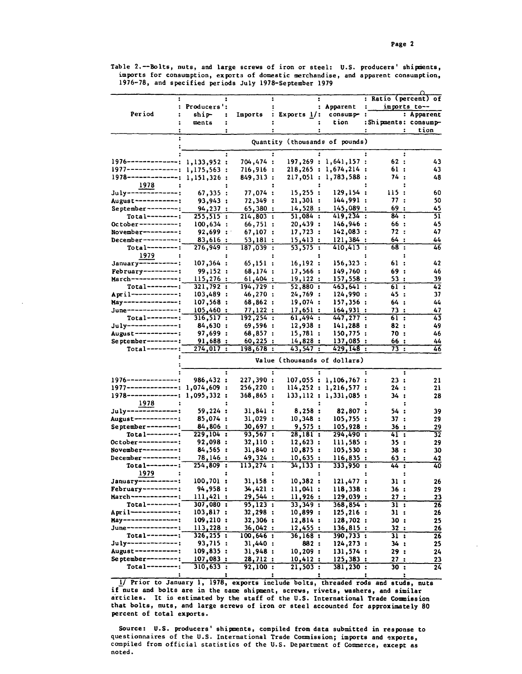Table 2.--Bolts, nuts, and large screws of iron or steel: U.S. producers' shipments, imports for consumption, exports of domestic merchandise, and apparent consumption, 1976-78, and specified periods July 1978-September 1979

|                                         |             |           |                                |                       | : Ratio (percent) of |            |
|-----------------------------------------|-------------|-----------|--------------------------------|-----------------------|----------------------|------------|
|                                         | Producers': |           |                                | : Apparent            | imports to--<br>٠.   |            |
| Period<br>፡                             | ship-       | Imports   | : Exports 1/:                  | consump- :            |                      | : Apparent |
|                                         | ments       |           |                                | tion                  | :Shipments: consump- |            |
|                                         |             |           |                                |                       |                      | tion       |
|                                         |             |           | Quantity (thousands of pounds) |                       |                      |            |
|                                         |             |           |                                |                       |                      |            |
| 1976---------------                     | 1,133,952:  | 704,474 : |                                | 197,269 : 1,641,157 : | 62:                  | 43         |
| $1977---------: 1,175,563:$             |             | 716,916:  |                                | 218,265 : 1,674,214 : | 61 :                 | 43         |
| 1978--------------: 1,151,326 :         |             | 849,313 : |                                | 217.051 : 1.783.588 : | 74 :                 | 48         |
| 1978                                    |             |           |                                |                       |                      |            |
| $July$ --------------                   | 67,335:     | 77,074 :  | 15,255:                        | 129, 154:             | 115:                 | 60         |
| August-----------:                      | 93,943 :    | 72,349 :  | 21,301:                        | 144,991:              | 77 :                 | 50         |
| September--------:                      | 94,237:     | 65,380:   | 14,528:                        | 145,089:              | 69 :                 | 45         |
| $Total-----:$                           | 255,515:    | 214,803:  | 51,084 :                       | 419,234 :             | 84 :                 | 51         |
| $0$ ctober----------:                   | 100,634:    | 66,751:   | 20,439:                        | 146,946:              | 66 :                 | 45         |
| November---------:                      | $92,699$ :  | 67,107:   | 17,723:                        | 142,083:              | 72 :                 | 47         |
| December---------:                      | 83,616 :    | 53,181 :  | 15.413:                        | 121,384 :             | 64 :                 | 44         |
| Total--------:                          | 276,949:    | 187,039:  | 53,575 :                       | 410,413:              | 68 :                 | 46         |
| 1979                                    |             |           |                                |                       |                      |            |
| January----------:                      | 107,364:    | 65,151:   | 16, 192:                       | 156,323:              | 61 :                 | 42         |
| $February-----$                         | 99,152:     | 68,174:   | 17,566:                        | 149,760:              | 69 :                 | 46         |
| $March$ ------------:                   | 115,276:    | 61,404:   | 19, 122:                       | 157,558:              | 53 :                 | 39         |
| Total--------:                          | 321,792 :   | 194,729 : | 52,880:                        | 463,641 :             | 61 :                 | 42         |
| April------------:                      | 103,489:    | 46,270:   | 24,769 :                       | 124,990:              | 45 :                 | 37         |
| May--------------:                      | 107,568:    | 68,862:   | 19,074:                        | 157,356:              | 64 :                 | 44         |
| June-------------;                      | 105,460:    | 77,122 :  | 17,651:                        | 164,931:              | 73 :                 | 47         |
| $Total-----:$                           | 316,517:    | 192,254 : | 61,494:                        | 447,277 :             | 61 :                 | 43         |
| July-------------:                      | 84,630:     | 69,596:   | 12,938:                        | 141,288:              | 82 :                 | 49         |
| $August -------:$                       | 97,699 :    | 68,857:   | 15,781:                        | 150,775:              | 70 :                 | 46         |
| September--------:                      | 91,688:     | 60,225:   | 14,828:                        | 137,085:              | 66 :                 | 44         |
| Total--------:                          | 274,017:    | 198,678 : | 43,547 :                       | 429,148 :             | 73 :                 | 46         |
|                                         |             |           | Value (thousands of dollars)   |                       |                      |            |
|                                         |             |           |                                |                       |                      |            |
| 1976--------------:                     | 986,432:    | 227,390 : |                                | 107,055:1,106,767:    | ٠.<br>٠.<br>23 :     | 21         |
| $1977------------: 1,074,609:$          |             | 256,220 : |                                | 114,252 : 1,216,577 : | 24 :                 | 21         |
| 1978--------------:                     | 1,095,332:  | 368,865 : |                                | 133,112 : 1,331,085 : | 34 :                 | 28         |
| 1978                                    |             |           |                                |                       |                      |            |
| July-------                             | 59,224 :    | 31,841:   | 8,258:                         | 82,807 :              | 54 :                 | 39         |
| August-----------:                      | 85,074:     | 31,029:   | 10,348:                        | 105,755:              | 37 :                 | 29         |
| $September \texttt{---} \texttt{---}$ : | 84,806 :    | 30,697:   | 9,575:                         | 105,928:              | 36 :                 | 29         |
| $Total-----:$                           | 229,104:    | 93,567:   | 28,181 :                       | 294,490 :             | 41 :                 | 32         |
| <b>October----------:</b>               | 92,098:     | 32,110:   | 12,623:                        | 111,585 :             | 35 :                 | 29         |
| November---------:                      | 84,565:     | 31,840:   | 10,875:                        | 105,530:              | 38 :                 | 30         |
| December---------:                      | 78,146:     | 49.324:   | 10,635:                        | 116,835:              | 63 :                 | 42         |
| $Total-----:$                           | 254,809:    | 113,274:  | 34,133 :                       | 333,950 :             | 44:                  | 40         |
| 1979                                    |             |           |                                |                       |                      |            |
| January----------:                      | 100,701:    | 31,158:   | 10,382:                        | 121,477 :             | 31 :                 | 26         |
| $February--------:$                     | 94,958 :    | 34,421:   | 11,041:                        | 118,338:              | 36 :                 | 29         |
| March------------:                      | 111,421:    | 29,544 :  | 11,926:                        | 129,039:              | 27:                  | 23         |
| $Total-----:$                           | 307,080:    | 95,123:   | 33,349:                        | 368,854 :             | 31 :                 | 26         |
| April -------------                     | 103,817:    | 32, 298:  | 10,899:                        | 125,216:              | 31 :                 | 26         |
| May---------------;                     | 109, 210:   | 32,306:   | 12,814 :                       | 128,702:              | 30 :                 | 25         |
| June-----------                         | 113,228:    | 36,042 :  | 12,455:                        | 136,815:              | 32 :                 | 26         |
| $Total-----:$                           | 326, 255:   | 100,646 : | 36,168:                        | 390,733 :             | 31 :                 | 26         |
| July-------------;                      | 93,715 :    | 31,440 :  | 882 :                          | 124, 273:             | 34 :                 | 25         |
| $August$ -----------:                   | 109,835:    | 31,948:   | 10,209:                        | 131,574:              | 29:                  | 24         |
| September--------:                      | 107,083:    | 28,712:   | 10,412 :                       | 125,383:              | 27 :                 | 23         |
| $Total-----:$                           | 310,633:    | 92,100:   | 21,503:                        | 381,230 :             | 30 :                 | 24         |
|                                         |             |           |                                |                       |                      |            |

l\_/ Prior to January 1, 1978, exports include bolts, threaded rods and studs, nuts if nuts and bolts are in the same shipment, screws, rivets, washers, and similar articles. It is estimated by the staff of the U.S. International Trade Commission that bolts, nuts, and large screws of iron or steel accounted for approximately 80 percent of total exports.

Source: U.S. producers' shipments, compiled from data submitted in response to questionnaires of the U.S. International Trade Commission; imports and exports, compiled from official statistics of the U.S. Department of Commerce, except as noted.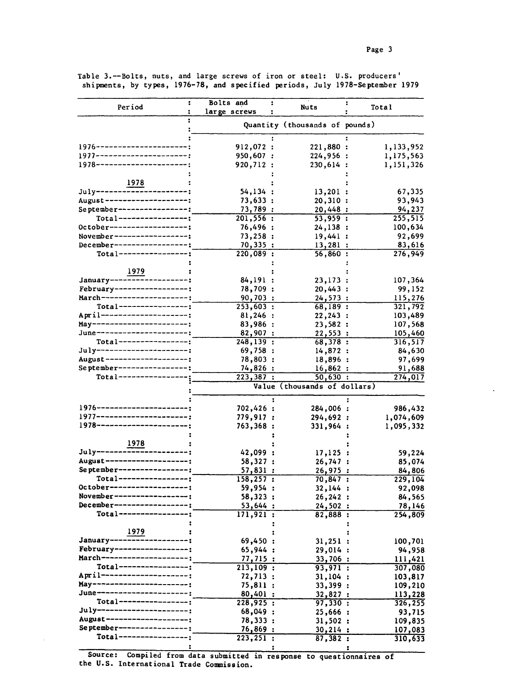$\ddot{\bullet}$ Bolts and  $\cdot$ Nuts : Total Period large screws  $\ddot{\mathbf{r}}$  $\ddot{\phantom{a}}$ Quantity (thousands of pounds) 912,072 1976---------------------: 221,880 1,133,952 1977---------------------: 950,607 224,956 1,175,563 1978---------------------: 920, 712 230,614 1,151,326 1978 July-------<del>-----</del>-----------: 54,134 : 13,201 : 67,335<br>August--------------------: 73,633 : 20,310 : 93,943 August---------------------: 73,633 : 20,310 : 93,943<br>September-------------------: 73,789 : 20,448 : 94,237 September----------------=~--------:~7~3~'~7~8~9----------~2~0~,~4 8-----------=- 4~,2~3=-=7 Total----------------: 201,556 53,959 255,515 0ctober--------------------: 76,496 : 24,138 : 100,634<br>November-------------------: 73,258 : 19,441 : 92,699 November-------------------: 73,258 : 19,441 : 92,699<br>December----------------------: 70,335 : 13,281 : 83,616  $Total \texttt{---} \texttt{---} \texttt{---} \texttt{---} \texttt{---} \texttt{---} \texttt{---} \texttt{---} \texttt{---} \texttt{---} \texttt{---} \texttt{---} \texttt{---} \texttt{---} \texttt{---} \texttt{---} \texttt{---} \texttt{---} \texttt{---} \texttt{---} \texttt{---} \texttt{---} \texttt{---} \texttt{---} \texttt{---} \texttt{---} \texttt{---} \texttt{---} \texttt{---} \texttt{---} \texttt{---} \texttt{---} \texttt{---} \texttt{---} \texttt{---} \texttt{---} \texttt$  $\cdot$  $\cdot$ 1979  $\cdot$  $\ddot{\phantom{a}}$  $\ddot{\cdot}$ January--------------------: 84,191 : 23,173 : 107,364<br>February--------------------: 78,709 : 20,443 : 99,152 February------------------: 78,709: 20,443: 99,152<br>March---------------------: 90,703: 24,573: 115,276 90,703 : March--------------------Total-----------------:  $\overline{253,603 : 68,189 : 321,792}$  $253,603$ :  $68,189$ :  $321,792$ <br>81,246:  $22,243$ :  $103,489$ April ---------------------: 81,246 : 22,243 : 103,489<br>
May -----------------------: 83,986 : 23,582 : 107,568 May-----------------------: 83,986 : 23,582 : 107,568<br>June----------------------: 82,907 : 22,553 : 105,460 June---------------------: 22,553 : ~-----------'---------------.....,.\_\_,,,.--------------..\_\_,\_\_ Total----------------:  $\frac{248,139}{69,758}$  : July----------------------: 69,758 : 14,872 : 84,630 August---------------------: 78,803 : 18,896 : 97,699  $74,826$  : 16,862 : 91,688  $\frac{3}{2}$  $223,387$  : 50,630 : 274,017 Total----------------!------------.....\_--------------....\_----------------..\_\_~ Value (thousands of dollars) 1976---------------------: 702,426 284,006 986,432 1977---------------------: 779,917 294,692 1,074,609

Table 3.--Bolts, nuts, and large screws of iron or steel: U.S. producers' shipments, by types, 1976-78, and specified periods, July 1978-September 1979

| JUIY.                                  | <b>07,700:</b> | 14,872 :                     | 84,030               |
|----------------------------------------|----------------|------------------------------|----------------------|
| August--------------------             | 78,803:        | 18,896 :                     | 97,699               |
| September-----------------;            | 74,826:        | 16,862:                      | 91,688               |
| $Total$ ------------------             | 223,387:       | 50,630:                      | $\overline{274,017}$ |
|                                        |                | Value (thousands of dollars) |                      |
|                                        |                |                              |                      |
| 1976-----------------------            | 702,426:       | 284,006:                     | 986,432              |
| 1977-----------------------            | 779,917:       | 294,692:                     | 1,074,609            |
| 1978----------------------             | 763,368:       | 331,964                      | 1,095,332            |
|                                        |                |                              |                      |
| July------- <del>-------------</del> - |                |                              |                      |
|                                        | 42,099         | 17, 125:                     | 59,224               |
| August--------------------             | 58,327:        | 26,747:                      | 85,074               |
| September-----------------;            | 57,831:        | 26,975:                      | 84,806               |
| $Total-----$                           | 158, 257:      | 70,847:                      | 229,104              |
| October--------------------            | 59,954 :       | 32,144:                      | 92,098               |
| November ------------------            | 58,323:        | 26,242:                      | 84,565               |
| December------------------             | 53,644 :       | 24,502:                      | 78,146               |
| $Total-----$                           | 171,921:       | 82,888 :                     | 254,809              |
|                                        |                |                              |                      |
|                                        |                |                              |                      |
| January-------------------:            | 69,450:        | 31,251:                      | 100,701              |
| February------------------;            | 65,944:        | 29,014:                      | 94,958               |
| March----------------------            | 77,715:        | 33,706:                      | 111,421              |
| $Total-----$                           | 213,109:       | 93,971:                      | 307,080              |
| April ---------------------;           | 72,713:        | 31,104:                      | 103,817              |
| May-----------------------;            | 75,811:        | 33,399:                      | 109,210              |
| June----------------------;            | 80,401:        | 32,827:                      | 113,228              |
| $Total-----$                           | 228,925:       | 97,330:                      | 326,255              |
| July-----------------------            | 68,049 :       | 25,666:                      | 93,715               |
| August--------------------             | 78,333:        | 31,502:                      | 109,835              |
| September----------------;             | 76,869:        | 30,214:                      | 107,083              |
| $Total-----$                           | 223, 251:      | 87,382:                      | 310,633              |
|                                        |                |                              |                      |

Source: Compiled from data submitted in response to questionnaires of the U.S. International Trade Comnission.

 $\cdot$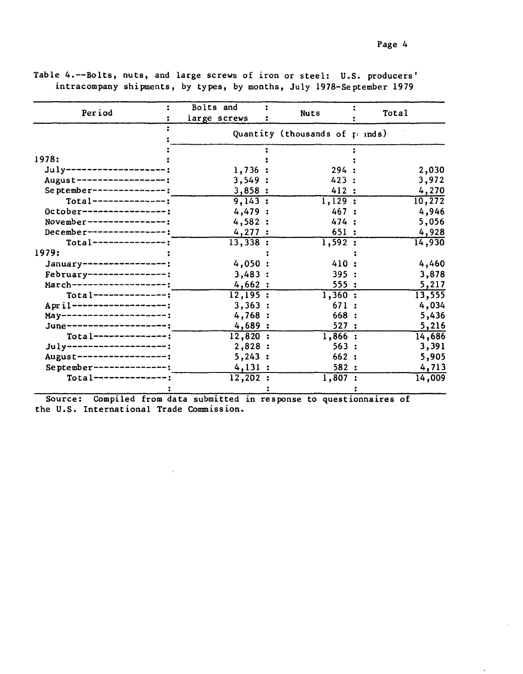|                                             | Bolts and    |                                           |         |
|---------------------------------------------|--------------|-------------------------------------------|---------|
| Period                                      | large screws | <b>Nuts</b>                               | Total   |
|                                             |              |                                           |         |
|                                             |              | Quantity (thousands of $\mathbf{r}$ ands) |         |
|                                             |              |                                           |         |
| 1978:                                       |              |                                           |         |
| July---------------                         | 1,736:       | 294:                                      | 2,030   |
| August---------------                       | 3,549:       | 423 :                                     | 3,972   |
| September------------                       | 3,858:       | 412 :                                     | 4,270   |
| $Total-----$                                | 9,143:       | 1,129:                                    | 10, 272 |
| $0$ ctober-------------                     | 4,479:       | 467:                                      | 4,946   |
| November-------------                       | 4,582:       | 474 :                                     | 5,056   |
| $December^{-----}$                          | 4,277:       | 651:                                      | 4,928   |
| $Total-----$                                | 13,338:      | 1,592:                                    | 14,930  |
| 1979:                                       |              |                                           |         |
| January----------------:                    | 4,050:       | 410 :                                     | 4,460   |
| February---------------:                    | 3,483:       | 395:                                      | 3,878   |
| $March$ -----------------                   | 4,662:       | 555:                                      | 5,217   |
| $Total-----$                                | 12,195:      | 1,360:                                    | 13,555  |
| April --------------------                  | 3,363:       | 671:                                      | 4,034   |
| $May--------------------$                   | 4,768:       | 668 :                                     | 5,436   |
| June------------------                      | 4,689:       | 527:                                      | 5,216   |
| $Total-----$                                | 12,820:      | 1,866:                                    | 14,686  |
| $J$ u l y - - - - - - - - - - - - - - - - - | 2,828:       | 563:                                      | 3,391   |
| August----------------                      | 5,243:       | 662:                                      | 5,905   |
| September--------------:                    | 4,131:       | 582:                                      | 4,713   |
| $Total$ --------------:                     | 12,202:      | 1,807:                                    | 14,009  |
|                                             |              |                                           |         |

Table 4.--Bolts, nuts, and large screws of iron or steel: U.S. producers' intracompany shipments, by types, by months, July 1978-September 1979

Source: Compiled from data submitted in response to questionnaires of the U.S. International Trade Commission.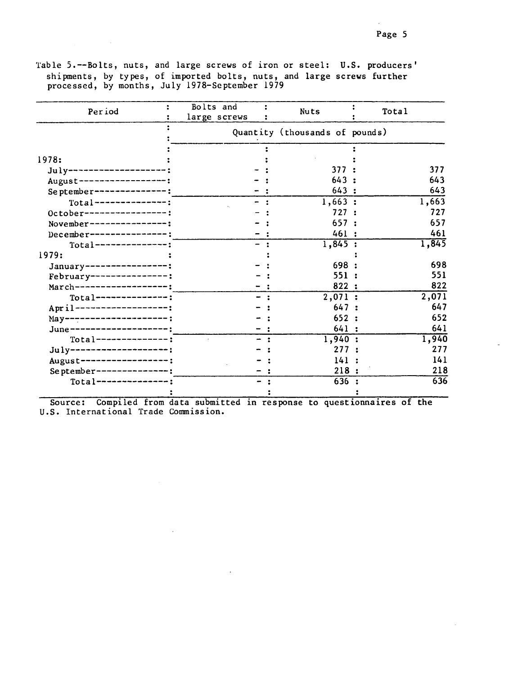Table 5.--Bolts, nuts, and large screws of iron or steel: U.S. producers' shipments, by types, of imported bolts, nuts, and large screws further processed, by months, July 1978-September 1979

 $\sim$ 

| Period                         | Bolts and<br>large screws | Nuts                           | Total |                  |
|--------------------------------|---------------------------|--------------------------------|-------|------------------|
|                                |                           | Quantity (thousands of pounds) |       |                  |
|                                |                           |                                |       |                  |
| 1978:                          |                           |                                |       |                  |
| July----------------           |                           | 377                            |       | 377              |
| August----------------         |                           | 643:                           |       | 643              |
| September------------          |                           | 643:                           |       | 643              |
| $Total-----$                   |                           | 1,663:                         |       | 1,663            |
| October--------------          |                           | 727                            |       | 727              |
| November-------------          |                           | 657:                           |       | 657              |
| December------------           |                           | 461 :                          |       | 461              |
| $Total-----$                   |                           | 1,845:                         |       | 1,845            |
| 1979:                          |                           |                                |       |                  |
| January--------------          |                           | 698                            |       | 698              |
| February---------------        |                           | 551                            |       | 551              |
| March----------------          |                           | 822 :                          |       | 822              |
| $Total-----$                   |                           | 2,071:                         |       | 2,071            |
| April -----------------        |                           | 647                            |       | 647              |
| $May-----$                     |                           | 652:                           |       | 652              |
| $June -$<br>------------------ |                           | 641:                           |       | 641              |
| $Total-----$                   |                           | 1,940                          |       | 1,940            |
| ----------------<br>$July-$    |                           | 277:                           |       | 277              |
| August---------------          |                           | 141:                           |       | 141              |
| September--------------        |                           | 218:                           |       | 218              |
| $Total$ ------------           |                           | 636 :                          |       | $\overline{636}$ |
|                                |                           |                                |       |                  |

Source: Compiled from data submitted in response to questionnaires of the U.S. International Trade Commission.

 $\lambda$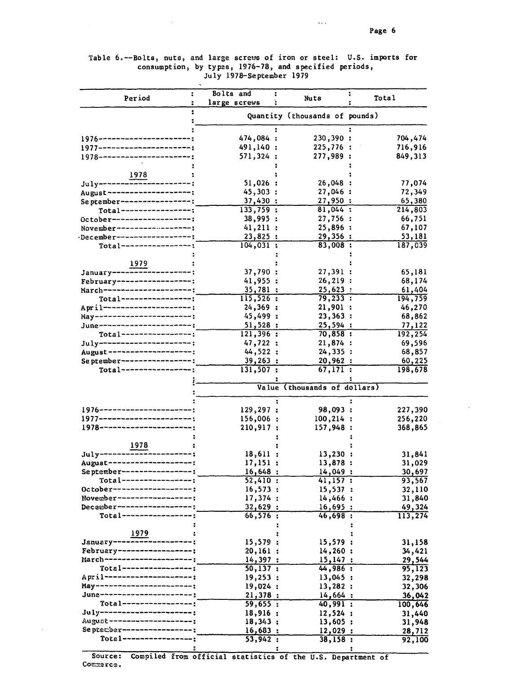$\sim$ 

 $\overline{\mathcal{L}}$  .

### Table 6.--Bolts, nuts, and large screws of iron or steel: U.S. imports for consumption, by types, 1976-78, and specified periods, July 1978-September 1979

 $\sim 10$ 

| :<br>Period                                         | Bolts and           | Nuts                           | Total             |
|-----------------------------------------------------|---------------------|--------------------------------|-------------------|
|                                                     | large screws        |                                |                   |
|                                                     |                     | Quantity (thousands of pounds) |                   |
|                                                     |                     |                                |                   |
| 1976----------                                      | 474,084 :           | 230,390:                       | 704,474           |
| 1977--------------------                            | 491,140:            | 225,776 :                      | 716,916           |
| 1978------------------                              | 571,324 :           | 277,989:                       | 849,313           |
| 1978                                                |                     |                                |                   |
| July-------- <del>----</del> -----------;           | 51,026:             | 26,048:                        | 77,074            |
| August-------------------;                          | 45,303:             | 27,046:                        | 72,349            |
| September----------------;                          | 37,430:             | 27,950:                        | 65,380            |
| $Total-----$                                        | 133,759:            | $81,044$ :                     | 214,803           |
| October-----------------                            | 38,995:             | 27,756 :                       | 66,751            |
| November----------------                            | 41,211:             | 25,896:                        | 67,107            |
| December -----------------                          | 23,825:             | 29,356:                        | 53,181            |
| $Total-----$                                        | 104,031:            | 83,008:                        | 187,039           |
|                                                     |                     |                                |                   |
| <u>1979</u>                                         |                     |                                |                   |
| January--------                                     | 37,790:             | 27,391:                        | 65,181            |
| February------------------;                         | 41,955:             | 26,219:                        | 68,174            |
| March--------------------;                          | 35,781:             | 25,623:                        | 61,404            |
| $Total-----$                                        | 115,526:            | 79,233:                        | 194,759           |
| April ----------------------;                       | 24,369:             | 21,901:                        | 46,270            |
| May-----------------------;                         | 45,499:             | 23,363:                        | 68,862            |
| June----------------------;                         | 51,528:             | 25,594:                        | 77,122            |
| $Total \$ ----------------:                         | 121,396:            | 70,858:                        | 192,254           |
| July----------------------;                         | 47,722 :            | 21,874:                        | 69,596            |
| August---------------------:                        | 44,522:             | 24,335:                        | 68,857            |
| September ----------------;<br>$Total-----$         | 39,263:<br>131,507: | 20,962:<br>67, 171:            | 60,225<br>198,678 |
|                                                     |                     |                                |                   |
|                                                     |                     | Value (thousands of dollars)   |                   |
|                                                     |                     |                                |                   |
| 1976-------------------                             | 129, 297:           | 98,093:                        | 227,390           |
| 1977--------------------<br>1978------------------- | 156,006 :           | 100, 214:                      | 256,220           |
|                                                     | 210,917:            | 157,948:                       | 368,865           |
| 1978                                                |                     |                                |                   |
| July---                                             | $18,611$ :          | 13,230:                        | 31,841            |
| August-                                             | 17,151 :            | 13,878:                        | 31,029            |
| September-------                                    | 16,648:             | 14,049:                        | 30,697            |
| Total--------------                                 | 52,410:             | 41,157:                        | 93,567            |
| 0ctober----------------                             | 16,573:             | 15,537:                        | 32,110            |
| November----------------                            | 17,374:             | 14,466:                        | 31,840            |
| December---------------                             | 32,629:             | 16,695:                        | 49,324            |
| $Total-----$                                        | 66,576:             | 46,698:                        | 113,274           |
|                                                     |                     |                                |                   |
| 1979<br>January--------                             | 15,579:             | 15,579:                        |                   |
| February----------------                            | 20,161:             | 14,260:                        | 31,158<br>34,421  |
| March-----------------                              | 14,397:             | 15, 147:                       | 29,544            |
| $Total-----$                                        | 50,137:             | $44,986$ :                     | 95,123            |
| April -------------------                           | 19,253:             | 13,045:                        | 32,298            |
| May---------------------                            | 19,024 :            | 13,282:                        | 32,306            |
| June-----------------                               | 21,378:             | 14,664:                        | 36,042            |
| <b>Total-------------</b>                           | 59,655:             | 40,991:                        | 100,646           |
| July----------------------;                         | 18,916 :            | 12,524:                        | 31,440            |
| August-----------------                             | 18,343:             | 13,605:                        | 31,948            |
| Se prember------------                              | 16,683:             | 12,029:                        | 28,712            |
| $Total$ --------------                              | 53,942:             | 38,158:                        | 92,100            |
|                                                     |                     |                                |                   |

Source: Compiled from official statiatics of the U.S. Department of Courrece.

 $\sim$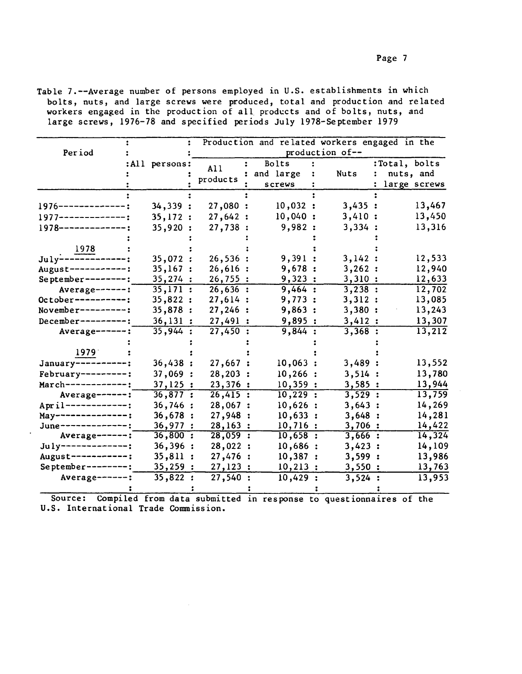Table 7.--Average number of persons employed in U.S. establishments in which bolts, nuts, and large screws were produced, total and production and related workers engaged in the production of all products and of bolts, nuts, and large screws, 1976-78 and specified periods July 1978-September 1979

|                                                   |               |                       |                 | Production and related workers engaged in the |                |             |  |                |
|---------------------------------------------------|---------------|-----------------------|-----------------|-----------------------------------------------|----------------|-------------|--|----------------|
| Period                                            |               |                       | production of-- |                                               |                |             |  |                |
|                                                   | :All persons: |                       |                 | Bolts                                         | ÷              |             |  | :Total, bolts  |
|                                                   |               | A11                   |                 | and large                                     | $\ddot{\cdot}$ | <b>Nuts</b> |  | nuts, and      |
|                                                   |               | products              |                 | screws                                        |                |             |  | : large screws |
|                                                   |               |                       |                 |                                               |                |             |  |                |
| $1976$ -------------:                             | 34,339:       | 27,080:               |                 | 10,032:                                       |                | 3,435:      |  | 13,467         |
| 1977-------------:                                | 35,172:       | 27,642:               |                 | 10,040:                                       |                | 3,410:      |  | 13,450         |
| $1978$ ------------                               | 35,920:       | 27,738:               |                 | 9,982 :                                       |                | 3,334:      |  | 13,316         |
|                                                   |               |                       |                 |                                               |                |             |  |                |
| 1978                                              |               |                       |                 |                                               |                |             |  |                |
| $July-----$                                       | 35,072:       | 26,536:               |                 | 9,391:                                        |                | 3,142:      |  | 12,533         |
| August-----------:                                | 35,167:       | 26,616:               |                 | 9,678 :                                       |                | 3,262:      |  | 12,940         |
| September--------:                                | 35,274:       | 26,755:               |                 | 9,323:                                        |                | 3,310:      |  | 12,633         |
| Average------:                                    | 35,171:       | 26,636:               |                 | 9,464:                                        |                | 3,238:      |  | 12,702         |
| $0$ ctober----------:                             | 35,822:       | 27,614:               |                 | 9,773:                                        |                | 3,312:      |  | 13,085         |
| November---------:                                | 35,878 :      | 27,246:               |                 | 9,863 :                                       |                | 3,380:      |  | 13,243         |
| $December-----$                                   | 36,131:       | 27,491 :              |                 | 9,895 :                                       |                | 3,412:      |  | 13,307         |
| Average------:                                    | 35,944:       | 27,450:               |                 | 9,844:                                        |                | 3,368:      |  | 13,212         |
|                                                   |               |                       |                 |                                               |                |             |  |                |
| 1979                                              |               |                       |                 |                                               |                |             |  |                |
| January----------:                                | 36,438:       | 27,667:               |                 | 10,063:                                       |                | 3,489:      |  | 13,552         |
| $February \texttt{---} \texttt{---} \texttt{---}$ | 37,069:       | 28,203 :              |                 | 10, 266:                                      |                | 3,514:      |  | 13,780         |
| March------------:                                | 37,125:       | 23,376:               |                 | 10,359:                                       |                | 3,585:      |  | 13,944         |
| Average ------:                                   | 36,877:       | $\overline{26,415}$ : |                 | $10,229$ :                                    |                | 3,529:      |  | 13,759         |
| $Apr11$ ------------:                             | 36,746:       | 28,067 :              |                 | 10,626:                                       |                | 3,643:      |  | 14,269         |
| May--------------:                                | 36,678:       | 27,948                |                 | 10,633:                                       |                | 3,648:      |  | 14,281         |
| June-------------:                                | 36,977:       | 28,163                |                 | 10,716 :                                      |                | 3,706:      |  | 14,422         |
| Average------:                                    | 36,800:       | 28,059:               |                 | 10,658:                                       |                | 3,666:      |  | 14,324         |
| $J$ u ly -------------:                           | 36,396:       | 28,022 :              |                 | 10,686:                                       |                | 3,423:      |  | 14,109         |
| August-----------:                                | 35,811:       | 27,476:               |                 | 10,387:                                       |                | 3,599:      |  | 13,986         |
| September--------:                                | 35,259:       | 27,123:               |                 | 10,213:                                       |                | 3,550:      |  | 13,763         |
| Average------:                                    | 35,822 :      | 27,540 :              |                 | 10,429:                                       |                | 3,524:      |  | 13,953         |
|                                                   |               |                       |                 |                                               |                |             |  |                |

Source: Compiled from data submitted in response to questionnaires of the U.S. International Trade Commission.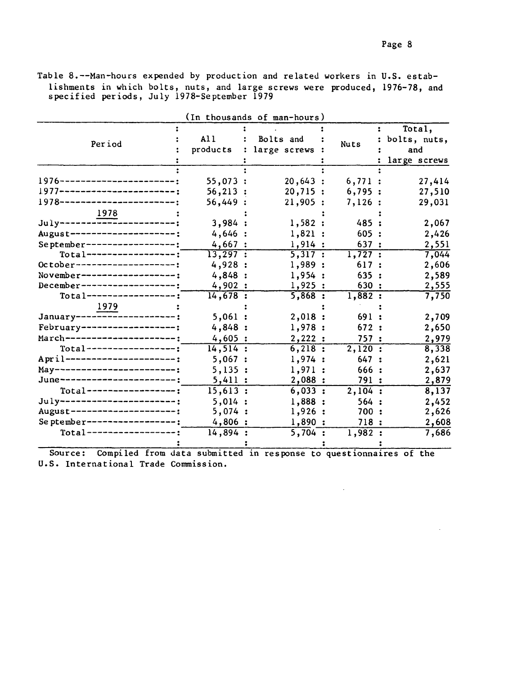Table 8.--Man-hours expended by production and related workers in U.S. establishments in which bolts, nuts, and large screws were produced, 1976-78, and specified periods, July 1978-September 1979

|                                 |          | (In thousands of man-hours) |        |              |
|---------------------------------|----------|-----------------------------|--------|--------------|
|                                 |          |                             |        | Total,       |
| Period                          | A11      | Bolts and                   | Nuts   | bolts, nuts, |
|                                 | products | large screws                |        | and          |
|                                 |          |                             |        | large screws |
|                                 |          |                             |        |              |
| 1976-----------------------     | 55,073:  | 20,643:                     | 6,771: | 27,414       |
| 1977----------------------      | 56,213   | 20,715:                     | 6,795: | 27,510       |
| 1978---------------------       | 56,449   | 21,905:                     | 7,126: | 29,031       |
|                                 |          |                             |        |              |
| July--------- <del>1978</del> : | 3,984:   | 1,582:                      | 485:   | 2,067        |
| August------------------        | 4,646:   | 1,821:                      | 605:   | 2,426        |
| September-----------------      | 4,667:   | 1,914:                      | 637 :  | 2,551        |
| $Total$ -----------------;      | 13,297:  | 5,317:                      | 1,727: | 7,044        |
| 0ctober--------------------:    | 4,928 :  | 1,989:                      | 617:   | 2,606        |
| November-------------------     | 4,848    | 1,954:<br>$\mathbf{r}$      | 635:   | 2,589        |
| December-------------------;    | 4,902:   | 1,925:                      | 630 :  | 2,555        |
| $Total$ -----------------;      | 14,678:  | 5,868:                      | 1,882: | 7,750        |
| 1979                            |          |                             |        |              |
| January--------------------;    | 5,061:   | 2,018:                      | 691 :  | 2,709        |
| February-------------------:    | 4,848 :  | 1,978:                      | 672:   | 2,650        |
| March----------------------     | 4,605:   | 2,222:                      | 757:   | 2,979        |
| $Total-----$                    | 14,514:  | 6,218:                      | 2,120: | 8,338        |
| April ----------------------    | 5,067:   | 1,974:                      | 647:   | 2,621        |
| May----------------------       | 5,135:   | 1,971:                      | 666 :  | 2,637        |
| June-----------------------     | 5,411:   | 2,088:                      | 791:   | 2,879        |
| $Total$ ------------------:     | 15,613:  | 6,033:                      | 2,104: | 8,137        |
| July-----------------------;    | 5,014:   | 1,888 :                     | 564:   | 2,452        |
| August---------------------;    | 5,074:   | 1,926:                      | 700 :  | 2,626        |
| September -----------------;    | 4,806:   | 1,890:                      | 718 :  | 2,608        |
| $Total-----$                    | 14,894 : | 5,704:                      | 1,982: | 7,686        |
|                                 |          |                             |        |              |

Source: Compiled from data submitted in response to questionnaires of the U.S. International Trade Commission.

 $\Delta \sim 10^4$ 

 $\mathcal{A}$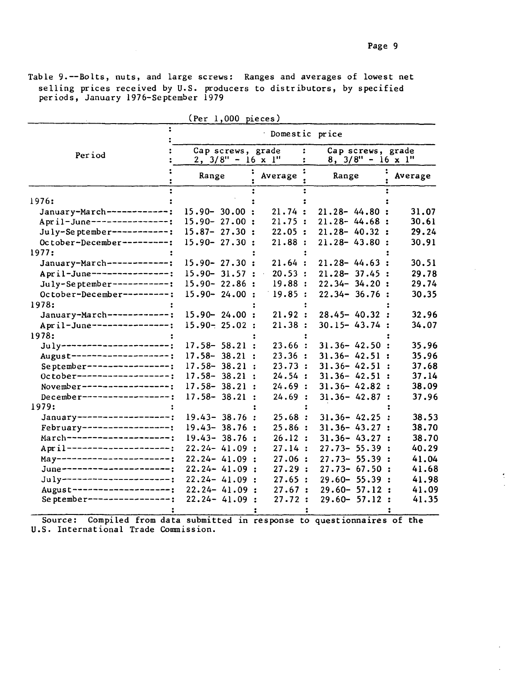$\tilde{\zeta}$ 

Table 9.--Bolts, nuts, and large screws: Ranges and averages of lowest net selling prices received by U.S. producers to distributors, by specified periods, January 1976-September 1979

|                              | (Per 1,000 pieces)               |                               |   |                                        |                              |
|------------------------------|----------------------------------|-------------------------------|---|----------------------------------------|------------------------------|
|                              |                                  | Domestic price                |   |                                        |                              |
| Period                       | Cap screws, grade<br>$2, 3/8" -$ | $16 \times 1$ "               | ÷ | Cap screws, grade<br>$8, 3/8" - 16x1"$ |                              |
|                              | Range                            | Average                       |   | Range                                  | Average                      |
| 1976:                        |                                  |                               |   |                                        |                              |
|                              |                                  |                               |   |                                        |                              |
| January-March------------:   | $15.90 - 30.00$ :                | 21.74:                        |   | $21.28 - 44.80$ :                      | 31.07                        |
| April-June ---------------;  | $15.90 - 27.00$ :                | 21.75:                        |   | $21.28 - 44.68$ :                      | 30.61                        |
| July-September-----------:   | $15.87 - 27.30$ :                | 22.05:                        |   | $21.28 - 40.32$                        | 29.24<br>$\ddot{\mathbf{r}}$ |
| October-December---------:   | $15.90 - 27.30$ :                | 21.88:                        |   | $21.28 - 43.80$ :                      | 30.91                        |
| 1977:                        |                                  |                               |   |                                        |                              |
| January-March-------------:  | $15.90 - 27.30$ :                | 21.64:                        |   | $21.28 - 44.63$ :                      | 30.51                        |
| April-June---------------:   | $15.90 - 31.57$ :                | 20.53:                        |   | $21.28 - 37.45$ :                      | 29.78                        |
| July-September-----------:   | $15.90 - 22.86$ :                | 19.88:                        |   | $22.34 - 34.20:$                       | 29.74                        |
| October-December---------:   | $15.90 - 24.00$ :                | 19.85:                        |   | $22.34 - 36.76:$                       | 30.35                        |
| 1978:                        |                                  |                               |   |                                        |                              |
| January-March------------:   | $15.90 - 24.00$ :                | 21.92:                        |   | $28.45 - 40.32$ :                      | 32.96                        |
| April-June--------------     | $15.90 - 25.02$ :                | 21.38:                        |   | $30.15 - 43.74$ :                      | 34.07                        |
| 1978:                        |                                  |                               |   |                                        |                              |
| July-----------------------: | $17.58 - 58.21$                  | 23.66:                        |   | $31.36 - 42.50$ :                      | 35.96                        |
| August--------------------;  | $17.58 - 38.21$                  | 23.36:                        |   | $31.36 - 42.51$ :                      | 35.96                        |
| September----------------;   | $17.58 - 38.21$                  | 23.73:                        |   | $31.36 - 42.51$ :                      | 37.68                        |
| 0ctober-------------------;  | $17.58 - 38.21$ :                | 24.54:                        |   | $31.36 - 42.51$ :                      | 37.14                        |
| November--------------       | $17.58 - 38.21$ :                | 24.69:                        |   | $31.36 - 42.82$ :                      | 38.09                        |
| December-----------          | $17.58 - 38.21$                  | 24.69:                        |   | $31.36 - 42.87$ :                      | 37.96                        |
| 1979:                        |                                  |                               |   |                                        |                              |
| January ------------------;  | $19.43 - 38.76$ :                | 25.68:                        |   | $31.36 - 42.25$ :                      | 38.53                        |
| February------------------;  | $19.43 - 38.76$ :                | 25.86:                        |   | $31.36 - 43.27$ :                      | 38.70                        |
| March---------------------;  | $19.43 - 38.76$                  | 26.12:<br>$\mathbf{r}$        |   | $31.36 - 43.27$ :                      | 38.70                        |
| April ---------------------; | $22.24 - 41.09$                  | 27.14:<br>$\ddot{\cdot}$      |   | $27.73 - 55.39$ :                      | 40.29                        |
| May-----------------------;  | $22.24 - 41.09$                  | 27.06:<br>$\ddot{\mathbf{z}}$ |   | $27.73 - 55.39$ :                      | 41.04                        |
| June----------------------   | $22.24 - 41.09$ :                | 27.29:                        |   | $27.73 - 67.50$ :                      | 41.68                        |
| July----------------------;  | $22.24 - 41.09:$                 | 27.65:                        |   | $29.60 - 55.39$ :                      | 41.98                        |
| August--------------------;  | $22.24 - 41.09$ :                | 27.67:                        |   | $29.60 - 57.12$ :                      | 41.09                        |
| September----------------;   | $22.24 - 41.09$ :                | 27.72:                        |   | $29.60 - 57.12$                        | 41.35                        |
|                              |                                  |                               |   |                                        |                              |

Source: Compiled from data submitted in response to questionnaires of the U.S. International Trade Commission.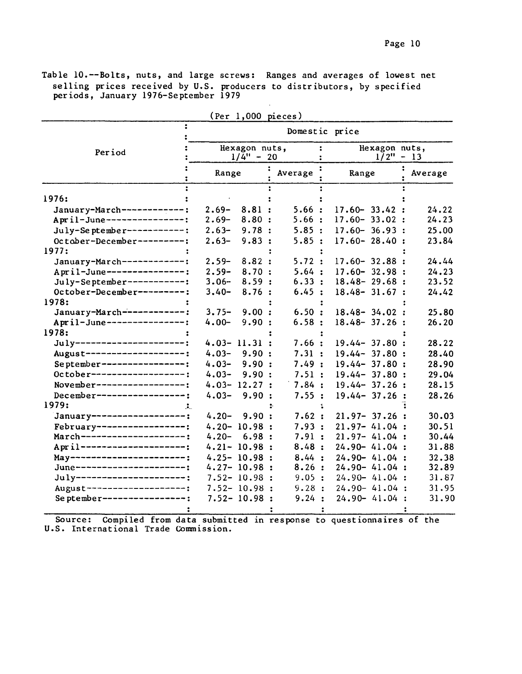Table 10.--Bolts, nuts, and large screws: Ranges and averages of lowest net selling prices received by U.S. producers to distributors, by specified periods, January 1976-September 1979

|                                     | Domestic price                                                     |                   |         |  |                   |  |             |  |
|-------------------------------------|--------------------------------------------------------------------|-------------------|---------|--|-------------------|--|-------------|--|
| Period                              | Hexagon nuts,<br>÷<br>$1/\tilde{4}$ " - 20<br>$\ddot{\phantom{a}}$ |                   |         |  | Hexagon nuts,     |  | $1/2" - 13$ |  |
|                                     | Range                                                              |                   | Average |  | Range             |  | Average     |  |
|                                     |                                                                    |                   |         |  |                   |  |             |  |
| 1976:                               |                                                                    |                   |         |  |                   |  |             |  |
| January-March------------:          | $2.69 -$                                                           | 8.81:             | 5.66:   |  | $17.60 - 33.42$ : |  | 24.22       |  |
| April-June---------------:          | $2.69 -$                                                           | 8.80:             | 5.66:   |  | $17.60 - 33.02$ : |  | 24.23       |  |
| July-September-----------:          | $2.63-$                                                            | 9.78:             | 5.85:   |  | $17.60 - 36.93$ : |  | 25.00       |  |
| October-December---------:<br>1977: | $2.63-$                                                            | 9.83:             | 5.85:   |  | $17.60 - 28.40$ : |  | 23.84       |  |
| January-March------------:          | $2.59 -$                                                           | 8.82 :            | 5.72:   |  | $17.60 - 32.88$ : |  | 24.44       |  |
| April-June ---------------:         | $2.59 -$                                                           | 8.70:             | 5.64:   |  | $17.60 - 32.98$ : |  | 24.23       |  |
| July-September-----------:          | $3.06 -$                                                           | 8.59:             | 6.33:   |  | $18.48 - 29.68$ : |  | 23.52       |  |
| October-December---------:          | $3.40 -$                                                           | 8.76:             | 6.45:   |  | $18.48 - 31.67$ : |  | 24.42       |  |
| 1978:                               |                                                                    |                   |         |  |                   |  |             |  |
| January-March------------:          | $3.75 -$                                                           | 9.00:             | 6.50:   |  | $18.48 - 34.02$ : |  | 25.80       |  |
| April-June---------------:          | $4.00 -$                                                           | 9.90<br>$\cdot$   | 6.58:   |  | 18.48-37.26:      |  | 26.20       |  |
| 1978:                               |                                                                    |                   |         |  |                   |  |             |  |
| July----------------------;         |                                                                    | $4.03 - 11.31$ :  | 7.66:   |  | $19.44 - 37.80:$  |  | 28.22       |  |
| August--------------------;         | $4.03 -$                                                           | 9.90:             | 7.31:   |  | $19.44 - 37.80:$  |  | 28.40       |  |
| September-----------------;         | $4.03 -$                                                           | 9.90:             | 7.49:   |  | $19.44 - 37.80:$  |  | 28.90       |  |
| 0ctober--------------------;        | $4.03 -$                                                           | 9.90:             | 7.51:   |  | $19.44 - 37.80$ : |  | 29.04       |  |
| November------------------:         |                                                                    | $4.03 - 12.27$ :  | 7.84:   |  | $19.44 - 37.26$ : |  | 28.15       |  |
| December------------------          | $4.03 -$                                                           | 9.90<br>$\cdot$ : | 7.55:   |  | $19.44 - 37.26$   |  | 28.26       |  |
| 1979:                               |                                                                    |                   |         |  |                   |  |             |  |
| January-------------------;         | $4.20 -$                                                           | 9.90:             | 7.62:   |  | $21.97 - 37.26$ : |  | 30.03       |  |
| February------------------:         |                                                                    | $4.20 - 10.98:$   | 7.93:   |  | $21.97 - 41.04$ : |  | 30.51       |  |
| March---------------------;         | $4.20 -$                                                           | 6.98:             | 7.91:   |  | $21.97 - 41.04$ : |  | 30.44       |  |
| April ----------------------;       |                                                                    | $4.21 - 10.98:$   | 8.48:   |  | $24.90 - 41.04$ : |  | 31.88       |  |
| May------------------------;        |                                                                    | $4.25 - 10.98$ :  | 8.44:   |  | $24.90 - 41.04$ : |  | 32.38       |  |
| June----------------------;         |                                                                    | $4.27 - 10.98$ :  | 8.26:   |  | $24.90 - 41.04$ : |  | 32.89       |  |
| July----------------------;         |                                                                    | $7.52 - 10.98$ :  | 9.05:   |  | $24.90 - 41.04$ : |  | 31.87       |  |
| August--------------------;         |                                                                    | $7.52 - 10.98$ :  | 9.28:   |  | $24.90 - 41.04$ : |  | 31.95       |  |
| September-----------------:         |                                                                    | $7.52 - 10.98:$   | 9.24:   |  | $24.90 - 41.04$ : |  | 31.90       |  |
|                                     |                                                                    |                   |         |  |                   |  |             |  |

(Per 1,000 pieces)

Source: Compiled from data submitted in response to questionnaires of the U.S. International Trade Commission.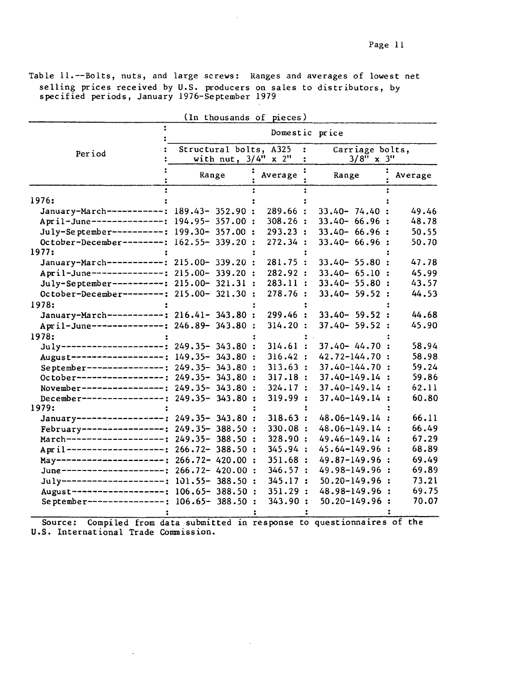Table 11.--Bolts, nuts, and large screws: Ranges and averages of lowest net selling prices received by U.S. producers on sales to distributors, by specified periods, January 1976-September 1979

 $\sim$ 

|                                             | (In thousands of pieces)                               |                               |                                                            |         |
|---------------------------------------------|--------------------------------------------------------|-------------------------------|------------------------------------------------------------|---------|
|                                             |                                                        | Domestic price                |                                                            |         |
| Period                                      | Structural bolts, A325<br>with nut, $3/4$ <sup>"</sup> | $\ddot{\cdot}$<br>$x \quad 2$ | Carriage bolts,<br>$3/8$ <sup>11</sup> x $3$ <sup>11</sup> |         |
|                                             | Range                                                  | Average                       | Range                                                      | Average |
| 1976:                                       |                                                        |                               |                                                            |         |
| January-March-----------: 189.43- 352.90 :  |                                                        | 289.66 :                      | $33.40 - 74.40$ :                                          | 49.46   |
| April-June---------------: 194.95- 357.00 : |                                                        | 308.26:                       | $33.40 - 66.96$ :                                          | 48.78   |
| July-September---------: 199.30- 357.00 :   |                                                        | 293.23:                       | $33.40 - 66.96:$                                           | 50.55   |
| October-December--------: 162.55- 339.20 :  |                                                        | 272.34 :                      | $33.40 - 66.96$ :                                          | 50.70   |
| 1977:                                       |                                                        |                               |                                                            |         |
| January-March-----------: 215.00- 339.20 :  |                                                        | 281.75:                       | $33.40 - 55.80$ :                                          | 47.78   |
| April-June--------------: 215.00- 339.20 :  |                                                        | 282.92 :                      | $33.40 - 65.10$ :                                          | 45.99   |
| July-September----------: 215.00- 321.31 :  |                                                        | 283.11 :                      | $33.40 - 55.80:$                                           | 43.57   |
| October-December--------: 215.00- 321.30 :  |                                                        | 278.76:                       | $33.40 - 59.52$ :                                          | 44.53   |
| 1978:                                       |                                                        |                               |                                                            |         |
| January-March-----------: 216.41- 343.80 :  |                                                        | 299.46 :                      | $33.40 - 59.52$ :                                          | 44.68   |
| April-June-------------: 246.89- 343.80 :   |                                                        | 314.20:                       | $37.40 - 59.52$ :                                          | 45.90   |
| 1978:                                       |                                                        |                               |                                                            |         |
| July---------------------: 249.35- 343.80 : |                                                        | 314.61:                       | $37.40 - 44.70$ :                                          | 58.94   |
| August-------------------; 149.35- 343.80 : |                                                        | 316.42:                       | $42.72 - 144.70:$                                          | 58.98   |
| September---------------; 249.35- 343.80 :  |                                                        | 313.63:                       | $37.40 - 144.70:$                                          | 59.24   |
| October-----------------: 249.35- 343.80 :  |                                                        | 317.18:                       | $37.40 - 149.14$ :                                         | 59.86   |
| November-----------------:                  | 249.35-343.80:                                         | 324.17:                       | $37.40 - 149.14$ :                                         | 62.11   |
| December-----------------                   | $249.35 - 343.80$ :                                    | 319.99:                       | $37.40 - 149.14$ :                                         | 60.80   |
| 1979:                                       |                                                        |                               |                                                            |         |
| January-----------------: 249.35- 343.80 :  |                                                        | 318.63:                       | $48.06 - 149.14$ :                                         | 66.11   |
| February----------------: 249.35- 388.50 :  |                                                        | 330.08 :                      | $48.06 - 149.14$ :                                         | 66.49   |
| March---------------------:                 | $249.35 - 388.50$ :                                    | 328.90 :                      | $49.46 - 149.14$ :                                         | 67.29   |
| April --------------------:                 | $266.72 - 388.50$ :                                    | 345.94:                       | $45.64 - 149.96:$                                          | 68.89   |
| May----------------------: 266.72- 420.00 : |                                                        | 351.68:                       | $49.87 - 149.96:$                                          | 69.49   |
| June---------------------;                  | $266.72 - 420.00$ :                                    | 346.57:                       | 49.98-149.96 :                                             | 69.89   |
| $July---------------: 101.55- 388.50:$      |                                                        | 345.17:                       | $50.20 - 149.96:$                                          | 73.21   |
| August------------------: 106.65- 388.50 :  |                                                        | 351.29:                       | 48.98-149.96 :                                             | 69.75   |
| September ----------------                  | $106.65 - 388.50$ :                                    | 343.90:                       | $50.20 - 149.96:$                                          | 70.07   |
|                                             |                                                        |                               |                                                            |         |

Source: Compiled from data submitted in response to questionnaires of the U.S. International Trade Commission.

 $\mathbb{Z}^2$ 

 $\sim$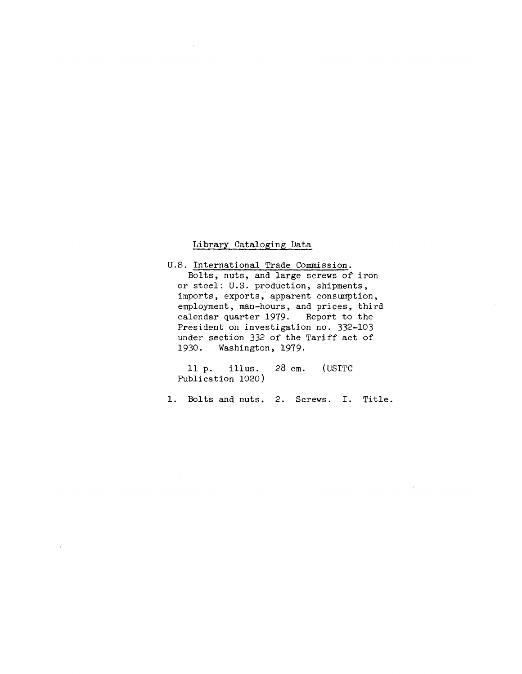### Library Cataloging Data

U.S. International Trade Commission. Bolts, nuts, and large screws of iron or steel: U.S. production, shipments, imports, exports, apparent consumption, employment, man-hours, and prices, third calendar quarter 1979. Report to the President on investigation no. 332-103 under section 332 of the Tariff act of<br>1930. Washington, 1979. Washington, 1979.

11 p. illus. 28 cm. (USITC Publication 1020)

1. Bolts and nuts. 2. Screws. I. Title.